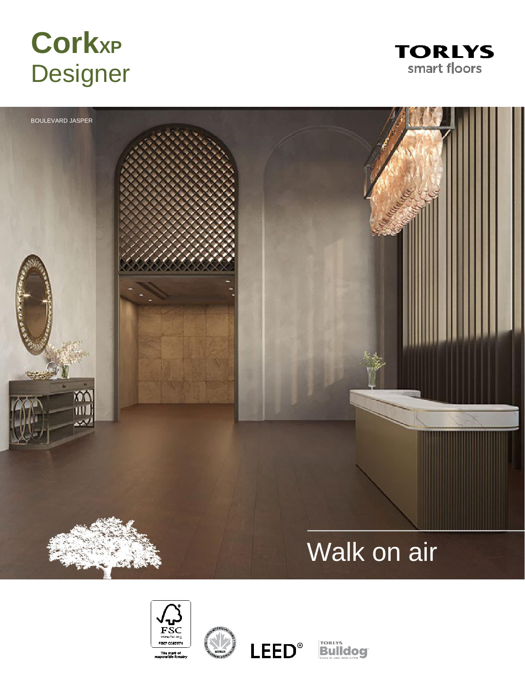# **CorkXP Designer**











**Bulldog**